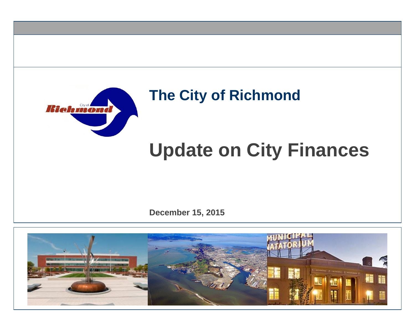

## **The City of Richmond**

# **Update on City Finances**

**December 15, 2015**

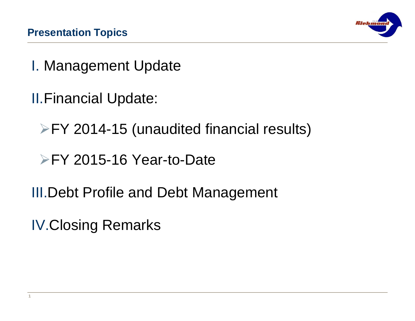

- I. Management Update
- II.Financial Update:
	- FY 2014-15 (unaudited financial results)
	- FY 2015-16 Year-to-Date
- III.Debt Profile and Debt Management
- IV.Closing Remarks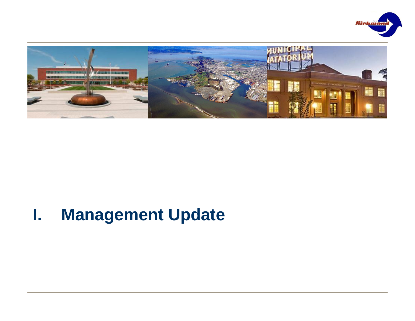



## **I. Management Update**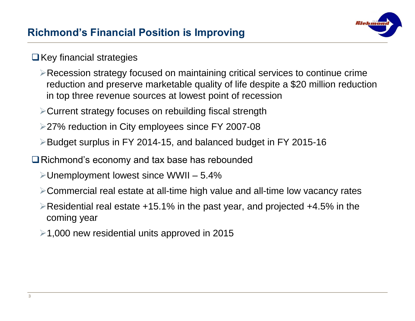

#### $\Box$  Key financial strategies

- Recession strategy focused on maintaining critical services to continue crime reduction and preserve marketable quality of life despite a \$20 million reduction in top three revenue sources at lowest point of recession
- Current strategy focuses on rebuilding fiscal strength
- 27% reduction in City employees since FY 2007-08
- Budget surplus in FY 2014-15, and balanced budget in FY 2015-16
- **□** Richmond's economy and tax base has rebounded
	- $\blacktriangleright$  Unemployment lowest since WWII 5.4%
	- Commercial real estate at all-time high value and all-time low vacancy rates
	- Residential real estate +15.1% in the past year, and projected +4.5% in the coming year
	- $\geq 1,000$  new residential units approved in 2015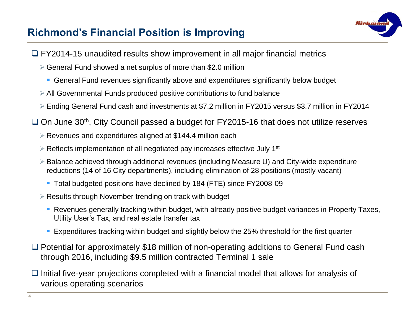#### **Richmond's Financial Position is Improving**



- □ FY2014-15 unaudited results show improvement in all major financial metrics
	- $\geq$  General Fund showed a net surplus of more than \$2.0 million
		- General Fund revenues significantly above and expenditures significantly below budget
	- All Governmental Funds produced positive contributions to fund balance
	- Ending General Fund cash and investments at \$7.2 million in FY2015 versus \$3.7 million in FY2014
- $\Box$  On June 30<sup>th</sup>, City Council passed a budget for FY2015-16 that does not utilize reserves
	- Revenues and expenditures aligned at \$144.4 million each
	- $\triangleright$  Reflects implementation of all negotiated pay increases effective July 1<sup>st</sup>
	- Balance achieved through additional revenues (including Measure U) and City-wide expenditure reductions (14 of 16 City departments), including elimination of 28 positions (mostly vacant)
		- Total budgeted positions have declined by 184 (FTE) since FY2008-09
	- $\triangleright$  Results through November trending on track with budget
		- Revenues generally tracking within budget, with already positive budget variances in Property Taxes, Utility User's Tax, and real estate transfer tax
		- **Expenditures tracking within budget and slightly below the 25% threshold for the first quarter**
- □ Potential for approximately \$18 million of non-operating additions to General Fund cash through 2016, including \$9.5 million contracted Terminal 1 sale
- $\Box$  Initial five-year projections completed with a financial model that allows for analysis of various operating scenarios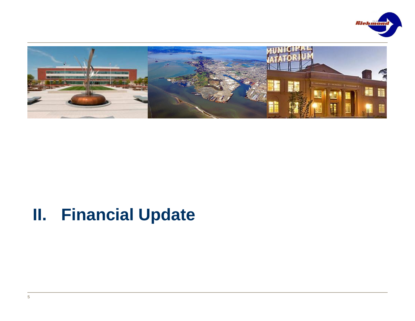



## **II. Financial Update**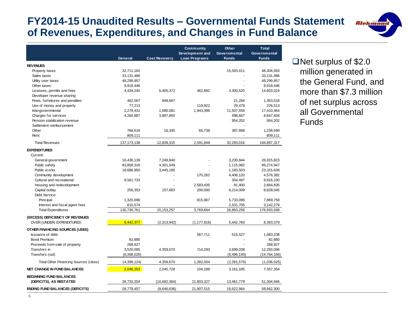#### **FY2014-15 Unaudited Results – Governmental Funds Statement of Revenues, Expenditures, and Changes in Fund Balance**

|                                        | General       | <b>Cost Recovery</b> | <b>Community</b><br>Development and<br><b>Loan Programs</b> | <b>Other</b><br>Governmental<br><b>Funds</b> | <b>Total</b><br>Governmental<br><b>Funds</b> |
|----------------------------------------|---------------|----------------------|-------------------------------------------------------------|----------------------------------------------|----------------------------------------------|
| <b>REV ENUES</b>                       |               |                      |                                                             |                                              |                                              |
| Property taxes                         | 32,711,182    |                      |                                                             | 15,593,411                                   | 48,304,593                                   |
| Sales taxes                            | 33,131,486    |                      |                                                             |                                              | 33,131,486                                   |
| Utility user taxes                     | 48,299,957    |                      |                                                             |                                              | 48,299,957                                   |
| Other taxes                            | 9,918,446     |                      |                                                             |                                              | 9,918,446                                    |
| Licenses, permits and fees             | 4,434,240     | 6,405,372            | 462,892                                                     | 3,300,520                                    | 14,603,024                                   |
| Developer revenue sharing              |               |                      |                                                             |                                              |                                              |
| Fines, forfeitures and penalties       | 482,567       | 849,667              |                                                             | 21,284                                       | 1,353,518                                    |
| Use of money and property              | 77,213        |                      | 119,822                                                     | 29,478                                       | 226,513                                      |
| Intergovernmental                      | 2,279,431     | 1,680,081            | 1,943,396                                                   | 11,507,556                                   | 17,410,464                                   |
| Charges for services                   | 4,260,887     | 3,887,850            |                                                             | 498,667                                      | 8,647,404                                    |
| Pension stabilization revenue          |               |                      |                                                             | 954,202                                      | 954,202                                      |
| Settlement reimbursement               |               |                      |                                                             |                                              |                                              |
| Other                                  | 768,618       | 16,345               | 65,738                                                      | 387,898                                      | 1,238,599                                    |
| Rent                                   | 809,111       |                      |                                                             |                                              | 809,111                                      |
| <b>Total Revenues</b>                  | 137, 173, 138 | 12,839,315           | 2,591,848                                                   | 32,293,016                                   | 184,897,317                                  |
| <b>EXPENDITURES</b>                    |               |                      |                                                             |                                              |                                              |
| Current:                               |               |                      |                                                             |                                              |                                              |
| General government                     | 16,436,139    | 7,248,840            |                                                             | 3,230,844                                    | 26,915,823                                   |
| Public safety                          | 83,858,316    | 4,301,549            |                                                             | 1,115,082                                    | 89,274,947                                   |
| Public w orks                          | 18,686,950    | 3,445,185            |                                                             | 1,183,503                                    | 23,315,638                                   |
| Community development                  |               |                      | 170,262                                                     | 4,406,120                                    | 4,576,382                                    |
| Cultural and recreational              | 9,561,733     |                      |                                                             | 354,497                                      | 9,916,230                                    |
| Housing and redevelopment              |               |                      | 2,583,435                                                   | 81,400                                       | 2,664,835                                    |
| Capital outlay                         | 256,353       | 157,683              | 200,000                                                     | 8,214,009                                    | 8,828,045                                    |
| Debt Service:                          |               |                      |                                                             |                                              |                                              |
| Principal                              | 1,320,696     |                      | 815,967                                                     | 5,733,096                                    | 7,869,759                                    |
| Interest and fiscal agent fees         | 610,574       |                      |                                                             | 2,531,705                                    | 3,142,279                                    |
| <b>Total Expenditures</b>              | 130,730,761   | 15, 153, 257         | 3,769,664                                                   | 26,850,256                                   | 176,503,938                                  |
| (EXCESS) DEFICIENCY OF REVENUES        |               |                      |                                                             |                                              |                                              |
| OVER (UNDER) EXPENDITURES              | 6,442,377     | (2,313,942)          | (1, 177, 816)                                               | 5,442,760                                    | 8,393,379                                    |
| OTHER FINANCING SOURCES (USES)         |               |                      |                                                             |                                              |                                              |
| <b>Issuance of debt</b>                |               |                      | 567,711                                                     | 515,527                                      | 1,083,238                                    |
| <b>Bond Premium</b>                    | 82,880        |                      |                                                             |                                              | 82,880                                       |
| Proceeds from sale of property         | 268,927       |                      |                                                             |                                              | 268,927                                      |
| Transfers in                           | 3,520,095     | 4,359,670            | 714,293                                                     | 3,699,038                                    | 12,293,096                                   |
| Transfers (out)                        | (8,268,026)   |                      |                                                             | (6,496,140)                                  | (14, 764, 166)                               |
| Total Other Financing Sources (Uses)   | (4,396,124)   | 4,359,670            | 1,282,004                                                   | (2, 281, 575)                                | (1,036,025)                                  |
| <b>NET CHANGE IN FUND BALANCES</b>     | 2,046,253     | 2,045,728            | 104,188                                                     | 3,161,185                                    | 7,357,354                                    |
| <b>BEGINNING FUND BALANCES</b>         |               |                      |                                                             |                                              |                                              |
| (DEFICITS), AS RESTATED                | 26,732,204    | (10,692,364)         | 21,803,327                                                  | 13,461,779                                   | 51,304,946                                   |
| <b>ENDING FUND BALANCES (DEFICITS)</b> | 28,778,457    | (8,646,636)          | 21.907.515                                                  | 16.622.964                                   | 58.662.300                                   |

 $\Box$  Net surplus of \$2.0 million generated in the General Fund, and more than \$7.3 million of net surplus across all Governmental Funds

*Riehmond*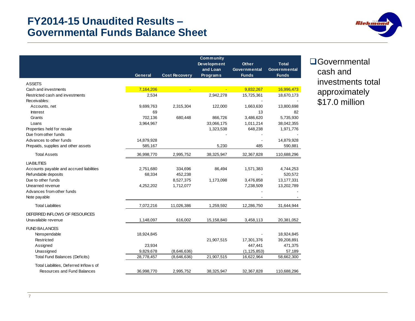#### **FY2014-15 Unaudited Results – Governmental Funds Balance Sheet**



|                                          |            |                      | Community          |               |              |
|------------------------------------------|------------|----------------------|--------------------|---------------|--------------|
|                                          |            |                      | <b>Development</b> | <b>Other</b>  | <b>Total</b> |
|                                          |            |                      | and Loan           | Governmental  | Governmental |
|                                          | General    | <b>Cost Recovery</b> | <b>Programs</b>    | <b>Funds</b>  | <b>Funds</b> |
| <b>ASSETS</b>                            |            |                      |                    |               |              |
| Cash and investments                     | 7,164,206  |                      |                    | 9,832,267     | 16,996,473   |
| Restricted cash and investments          | 2,534      |                      | 2,942,278          | 15,725,361    | 18,670,173   |
| Receivables:                             |            |                      |                    |               |              |
| Accounts, net                            | 9,699,763  | 2,315,304            | 122,000            | 1,663,630     | 13,800,698   |
| <b>Interest</b>                          | 69         |                      |                    | 13            | 82           |
| Grants                                   | 702,136    | 680,448              | 866.726            | 3,486,620     | 5,735,930    |
| Loans                                    | 3,964,967  |                      | 33,066,175         | 1,011,214     | 38,042,355   |
| Properties held for resale               |            |                      | 1,323,538          | 648,238       | 1,971,776    |
| Due from other funds                     |            |                      |                    |               |              |
| Advances to other funds                  | 14,879,928 |                      |                    |               | 14,879,928   |
| Prepaids, supplies and other assets      | 585,167    |                      | 5,230              | 485           | 590,881      |
| <b>Total Assets</b>                      | 36,998,770 | 2,995,752            | 38,325,947         | 32,367,828    | 110,688,296  |
| <b>LIABILITIES</b>                       |            |                      |                    |               |              |
| Accounts payable and accrued liabilities | 2,751,680  | 334,696              | 86,494             | 1,571,383     | 4,744,253    |
| Refundable deposits                      | 68,334     | 452,238              |                    |               | 520,572      |
| Due to other funds                       |            | 8,527,375            | 1,173,098          | 3,476,858     | 13, 177, 331 |
| Unearned revenue                         | 4,252,202  | 1,712,077            |                    | 7,238,509     | 13,202,789   |
| Advances from other funds                |            |                      |                    |               |              |
| Note payable                             |            |                      |                    |               |              |
| <b>Total Liabilities</b>                 | 7,072,216  | 11,026,386           | 1,259,592          | 12,286,750    | 31,644,944   |
| DEFERRED INFLOWS OF RESOURCES            |            |                      |                    |               |              |
| Unavailable revenue                      | 1,148,097  | 616,002              | 15,158,840         | 3,458,113     | 20,381,052   |
|                                          |            |                      |                    |               |              |
| <b>FUND BALANCES</b>                     |            |                      |                    |               |              |
| Nonspendable                             | 18,924,845 |                      |                    |               | 18,924,845   |
| Restricted                               |            |                      | 21,907,515         | 17,301,376    | 39,208,891   |
| Assigned                                 | 23,934     |                      |                    | 447,441       | 471,375      |
| Unassigned                               | 9,829,678  | (8,646,636)          |                    | (1, 125, 853) | 57,189       |
| <b>Total Fund Balances (Deficits)</b>    | 28,778,457 | (8,646,636)          | 21,907,515         | 16,622,964    | 58,662,300   |
| Total Liabilities, Deferred Inflows of   |            |                      |                    |               |              |
| <b>Resources and Fund Balances</b>       | 36.998.770 | 2,995,752            | 38,325,947         | 32, 367, 828  | 110,688,296  |

**O**Governmental cash and investments total approximately \$17.0 million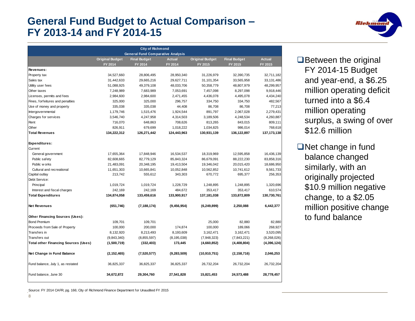#### **General Fund Budget to Actual Comparison – FY 2013-14 and FY 2014-15**

|                                      |                        | <b>City of Richmond</b>                  |               |                        |                     |               |
|--------------------------------------|------------------------|------------------------------------------|---------------|------------------------|---------------------|---------------|
|                                      |                        | <b>General Fund Comparative Analysis</b> |               |                        |                     |               |
|                                      | <b>Original Budget</b> | <b>Final Budget</b>                      | <b>Actual</b> | <b>Original Budget</b> | <b>Final Budget</b> | <b>Actual</b> |
|                                      | FY 2014                | FY 2014                                  | FY 2014       | FY 2015                | FY 2015             | FY 2015       |
| Revenues:                            |                        |                                          |               |                        |                     |               |
| Property tax                         | 34,527,660             | 28,806,495                               | 28,950,340    | 31,226,979             | 32,390,735          | 32,711,182    |
| Sales tax                            | 31,442,633             | 29,665,216                               | 29,627,711    | 31,101,354             | 33,565,958          | 33,131,486    |
| Utility user fees                    | 51,088,925             | 49,379,108                               | 48,033,706    | 50,358,779             | 48,807,979          | 48,299,957    |
| Other taxes                          | 7,248,989              | 7,683,989                                | 7,053,691     | 7,457,098              | 8,297,098           | 9,918,446     |
| Licenses, permits and fees           | 2,984,600              | 2,984,600                                | 2,471,455     | 4,436,078              | 4,495,078           | 4,434,240     |
| Fines, forfeitures and penalties     | 325,000                | 325,000                                  | 296,757       | 334,750                | 334,750             | 482,567       |
| Use of money and property            | 335,038                | 335,038                                  | 44,408        | 86,708                 | 86,708              | 77,213        |
| Intergovernmental                    | 1,179,746              | 1,515,476                                | 1,924,544     | 891,797                | 2,067,028           | 2,279,431     |
| Charges for services                 | 3,546,740              | 4,247,958                                | 4,314,503     | 3,189,506              | 4,248,534           | 4,260,887     |
| Rent                                 | 716,070                | 648,863                                  | 708,626       | 813,265                | 843,015             | 809,111       |
| Other                                | 826,911                | 679,699                                  | 1,018,222     | 1,034,825              | 986,014             | 768,618       |
| <b>Total Revenues</b>                | 134,222,312            | 126,271,442                              | 124,443,963   | 130,931,139            | 136,122,897         | 137, 173, 138 |
| Expenditures:                        |                        |                                          |               |                        |                     |               |
| Current                              |                        |                                          |               |                        |                     |               |
| General government                   | 17,655,364             | 17,848,946                               | 16,534,537    | 18,319,969             | 12,595,858          | 16,436,139    |
| Public safety                        | 82,608,665             | 82,779,129                               | 85,843,324    | 86,679,091             | 88,222,230          | 83,858,316    |
| Public w orks                        | 21,483,091             | 20,348,195                               | 19,413,504    | 19,346,042             | 20,015,420          | 18,686,950    |
| Cultural and recreational            | 11,651,303             | 10,665,841                               | 10,052,848    | 10,562,852             | 10,741,612          | 9,561,733     |
| Capital outlay                       | 213,742                | 555,612                                  | 343,303       | 670,772                | 695,377             | 256,353       |
| Debt Service:                        |                        |                                          |               |                        |                     |               |
| Principal                            | 1,019,724              | 1,019,724                                | 1,228,729     | 1,248,895              | 1,248,895           | 1,320,696     |
| Interest and fiscal charges          | 242,169                | 242,169                                  | 484,672       | 353,417                | 353,417             | 610,574       |
| <b>Total Expenditures</b>            | 134,874,058            | 133,459,616                              | 133,900,917   | 137,181,038            | 133,872,809         | 130,730,761   |
| Net Revenues                         | (651, 746)             | (7, 188, 174)                            | (9, 456, 954) | (6, 249, 899)          | 2,250,088           | 6,442,377     |
| Other Financing Sources (Uses):      |                        |                                          |               |                        |                     |               |
| <b>Bond Premium</b>                  | 109,701                | 109,701                                  |               | 25,000                 | 82,880              | 82,880        |
| Proceeds from Sale of Property       | 100,000                | 200,000                                  | 174,874       | 100,000                | 189,066             | 268,927       |
| Transfers in                         | 8,132,920              | 8,213,493                                | 8,193,609     | 3,162,471              | 3,162,471           | 3,520,095     |
| Transfers out                        | (9,843,340)            | (8,855,597)                              | (8, 195, 038) | (7,948,323)            | (7,843,221)         | (8,268,026)   |
| Total other Financing Sources (Uses) | (1,500,719)            | (332, 403)                               | 173,445       | (4,660,852)            | (4,408,804)         | (4,396,124)   |
| Net Change in Fund Balance           | (2, 152, 465)          | (7,520,577)                              | (9, 283, 509) | (10,910,751)           | (2, 158, 716)       | 2,046,253     |
| Fund balance, July 1, as restated    | 36,825,337             | 36,825,337                               | 36,825,337    | 26,732,204             | 26,732,204          | 26,732,204    |
| Fund balance, June 30                | 34,672,872             | 29,304,760                               | 27,541,828    | 15,821,453             | 24,573,488          | 28,778,457    |

**Between the original** FY 2014-15 Budget and year-end, a \$6.25 million operating deficit turned into a \$6.4 million operating surplus, a swing of over \$12.6 million

**Biehm** 

**Net change in fund** balance changed similarly, with an originally projected \$10.9 million negative change, to a \$2.05 million positive change to fund balance

Source: FY 2014 CAFR, pg. 166; City of Richmond Finance Department for Unaudited FY 2015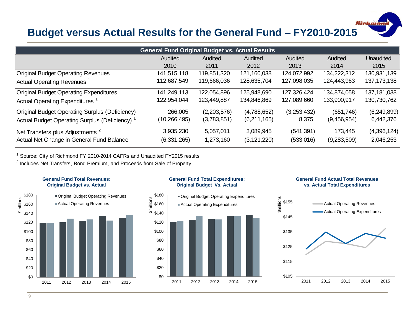#### **Budget versus Actual Results for the General Fund – FY2010-2015**

*Richmon* 

| <b>General Fund Original Budget vs. Actual Results</b>    |                |             |               |             |             |               |  |  |
|-----------------------------------------------------------|----------------|-------------|---------------|-------------|-------------|---------------|--|--|
|                                                           | Audited        | Audited     | Audited       | Audited     | Audited     | Unaudited     |  |  |
|                                                           | 2010           | 2011        | 2012          | 2013        | 2014        | 2015          |  |  |
| <b>Original Budget Operating Revenues</b>                 | 141,515,118    | 119,851,320 | 121,160,038   | 124,072,992 | 134,222,312 | 130,931,139   |  |  |
| Actual Operating Revenues                                 | 112,687,549    | 119,666,036 | 128,635,704   | 127,098,035 | 124,443,963 | 137, 173, 138 |  |  |
| <b>Original Budget Operating Expenditures</b>             | 141,249,113    | 122,054,896 | 125,948,690   | 127,326,424 | 134,874,058 | 137, 181, 038 |  |  |
| Actual Operating Expenditures <sup>1</sup>                | 122,954,044    | 123,449,887 | 134,846,869   | 127,089,660 | 133,900,917 | 130,730,762   |  |  |
| <b>Original Budget Operating Surplus (Deficiency)</b>     | 266,005        | (2,203,576) | (4,788,652)   | (3,253,432) | (651, 746)  | (6, 249, 899) |  |  |
| Actual Budget Operating Surplus (Deficiency) <sup>1</sup> | (10, 266, 495) | (3,783,851) | (6,211,165)   | 8,375       | (9,456,954) | 6,442,376     |  |  |
| Net Transfers plus Adjustments <sup>2</sup>               | 3,935,230      | 5,057,011   | 3,089,945     | (541, 391)  | 173,445     | (4,396,124)   |  |  |
| Actual Net Change in General Fund Balance                 | (6,331,265)    | 1,273,160   | (3, 121, 220) | (533,016)   | (9,283,509) | 2,046,253     |  |  |

<sup>1</sup> Source: City of Richmond FY 2010-2014 CAFRs and Unaudited FY2015 results

<sup>2</sup> Includes Net Transfers, Bond Premium, and Proceeds from Sale of Property

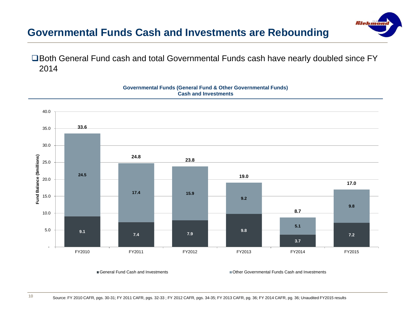#### **Governmental Funds Cash and Investments are Rebounding**

□Both General Fund cash and total Governmental Funds cash have nearly doubled since FY 2014



#### **Governmental Funds (General Fund & Other Governmental Funds) Cash and Investments**

**10**

General Fund Cash and Investments Other Governmental Funds Cash and Investments

*Richmo*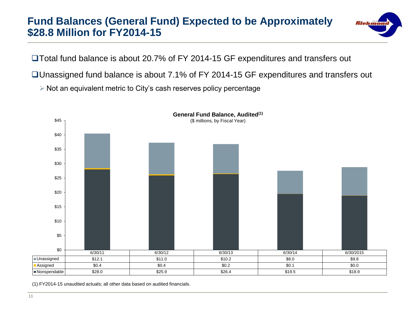#### **Fund Balances (General Fund) Expected to be Approximately \$28.8 Million for FY2014-15**



□Total fund balance is about 20.7% of FY 2014-15 GF expenditures and transfers out

Unassigned fund balance is about 7.1% of FY 2014-15 GF expenditures and transfers out

 $\triangleright$  Not an equivalent metric to City's cash reserves policy percentage



(1) FY2014-15 unaudited actuals; all other data based on audited financials.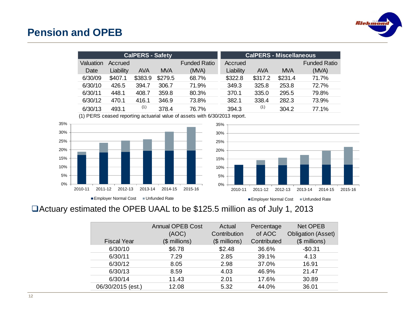

#### **Pension and OPEB**

|           |           | <b>CalPERS - Safety</b> |            |                     |           |            | <b>CalPERS - Miscellaneous</b> |                     |
|-----------|-----------|-------------------------|------------|---------------------|-----------|------------|--------------------------------|---------------------|
| Valuation | Accrued   |                         |            | <b>Funded Ratio</b> | Accrued   |            |                                | <b>Funded Ratio</b> |
| Date      | Liability | AVA                     | <b>MVA</b> | (MVA)               | Liability | <b>AVA</b> | <b>MVA</b>                     | (MVA)               |
| 6/30/09   | \$407.1   | \$383.9                 | \$279.5    | 68.7%               | \$322.8   | \$317.2    | \$231.4                        | 71.7%               |
| 6/30/10   | 426.5     | 394.7                   | 306.7      | 71.9%               | 349.3     | 325.8      | 253.8                          | 72.7%               |
| 6/30/11   | 448.1     | 408.7                   | 359.8      | 80.3%               | 370.1     | 335.0      | 295.5                          | 79.8%               |
| 6/30/12   | 470.1     | 416.1                   | 346.9      | 73.8%               | 382.1     | 338.4      | 282.3                          | 73.9%               |
| 6/30/13   | 493.1     | (1)                     | 378.4      | 76.7%               | 394.3     | (1)        | 304.2                          | 77.1%               |
|           |           |                         |            |                     |           |            |                                |                     |

(1) PERS ceased reporting actuarial value of assets with 6/30/2013 report.





#### Actuary estimated the OPEB UAAL to be \$125.5 million as of July 1, 2013

|                    | <b>Annual OPEB Cost</b> | Actual         | Percentage  | <b>Net OPEB</b>           |
|--------------------|-------------------------|----------------|-------------|---------------------------|
|                    | (AOC)                   | Contribution   | of AOC      | <b>Obligation (Asset)</b> |
| <b>Fiscal Year</b> | $($$ millions)          | $($$ millions) | Contributed | $($$ millions)            |
| 6/30/10            | \$6.78                  | \$2.48         | 36.6%       | $-$0.31$                  |
| 6/30/11            | 7.29                    | 2.85           | 39.1%       | 4.13                      |
| 6/30/12            | 8.05                    | 2.98           | 37.0%       | 16.91                     |
| 6/30/13            | 8.59                    | 4.03           | 46.9%       | 21.47                     |
| 6/30/14            | 11.43                   | 2.01           | 17.6%       | 30.89                     |
| 06/30/2015 (est.)  | 12.08                   | 5.32           | 44.0%       | 36.01                     |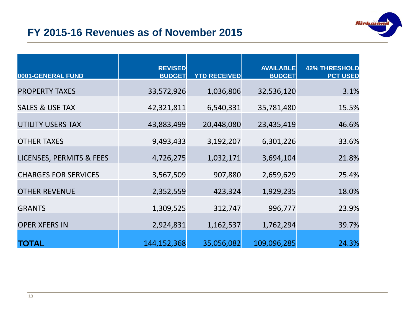

#### **FY 2015-16 Revenues as of November 2015**

| 0001-GENERAL FUND                   | <b>REVISED</b><br><b>BUDGET</b> | <b>YTD RECEIVED</b> | <b>AVAILABLE</b><br><b>BUDGET</b> | <b>42% THRESHOLD</b><br><b>PCT USED</b> |
|-------------------------------------|---------------------------------|---------------------|-----------------------------------|-----------------------------------------|
| <b>PROPERTY TAXES</b>               | 33,572,926                      | 1,036,806           | 32,536,120                        | 3.1%                                    |
| <b>SALES &amp; USE TAX</b>          | 42,321,811                      | 6,540,331           | 35,781,480                        | 15.5%                                   |
| <b>UTILITY USERS TAX</b>            | 43,883,499                      | 20,448,080          | 23,435,419                        | 46.6%                                   |
| <b>OTHER TAXES</b>                  | 9,493,433                       | 3,192,207           | 6,301,226                         | 33.6%                                   |
| <b>LICENSES, PERMITS &amp; FEES</b> | 4,726,275                       | 1,032,171           | 3,694,104                         | 21.8%                                   |
| <b>CHARGES FOR SERVICES</b>         | 3,567,509                       | 907,880             | 2,659,629                         | 25.4%                                   |
| <b>OTHER REVENUE</b>                | 2,352,559                       | 423,324             | 1,929,235                         | 18.0%                                   |
| <b>GRANTS</b>                       | 1,309,525                       | 312,747             | 996,777                           | 23.9%                                   |
| <b>OPER XFERS IN</b>                | 2,924,831                       | 1,162,537           | 1,762,294                         | 39.7%                                   |
| <b>TOTAL</b>                        | 144, 152, 368                   | 35,056,082          | 109,096,285                       | 24.3%                                   |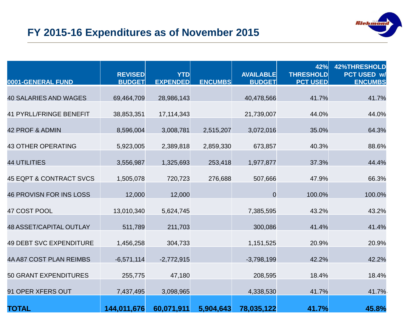

#### **FY 2015-16 Expenditures as of November 2015**

| 0001-GENERAL FUND                  | <b>REVISED</b><br><b>BUDGET</b> | <b>YTD</b><br><b>EXPENDED</b> | <b>ENCUMBS</b> | <b>AVAILABLE</b><br><b>BUDGET</b> | 42%<br><b>THRESHOLD</b><br><b>PCT USED</b> | <b>42%THRESHOLD</b><br>PCT USED w/<br><b>ENCUMBS</b> |
|------------------------------------|---------------------------------|-------------------------------|----------------|-----------------------------------|--------------------------------------------|------------------------------------------------------|
| <b>40 SALARIES AND WAGES</b>       | 69,464,709                      | 28,986,143                    |                | 40,478,566                        | 41.7%                                      | 41.7%                                                |
| <b>41 PYRLL/FRINGE BENEFIT</b>     | 38,853,351                      | 17, 114, 343                  |                | 21,739,007                        | 44.0%                                      | 44.0%                                                |
| 42 PROF & ADMIN                    | 8,596,004                       | 3,008,781                     | 2,515,207      | 3,072,016                         | 35.0%                                      | 64.3%                                                |
| <b>43 OTHER OPERATING</b>          | 5,923,005                       | 2,389,818                     | 2,859,330      | 673,857                           | 40.3%                                      | 88.6%                                                |
| <b>44 UTILITIES</b>                | 3,556,987                       | 1,325,693                     | 253,418        | 1,977,877                         | 37.3%                                      | 44.4%                                                |
| <b>45 EQPT &amp; CONTRACT SVCS</b> | 1,505,078                       | 720,723                       | 276,688        | 507,666                           | 47.9%                                      | 66.3%                                                |
| <b>46 PROVISN FOR INS LOSS</b>     | 12,000                          | 12,000                        |                | $\overline{0}$                    | 100.0%                                     | 100.0%                                               |
| 47 COST POOL                       | 13,010,340                      | 5,624,745                     |                | 7,385,595                         | 43.2%                                      | 43.2%                                                |
| <b>48 ASSET/CAPITAL OUTLAY</b>     | 511,789                         | 211,703                       |                | 300,086                           | 41.4%                                      | 41.4%                                                |
| <b>49 DEBT SVC EXPENDITURE</b>     | 1,456,258                       | 304,733                       |                | 1,151,525                         | 20.9%                                      | 20.9%                                                |
| 4A A87 COST PLAN REIMBS            | $-6,571,114$                    | $-2,772,915$                  |                | $-3,798,199$                      | 42.2%                                      | 42.2%                                                |
| <b>50 GRANT EXPENDITURES</b>       | 255,775                         | 47,180                        |                | 208,595                           | 18.4%                                      | 18.4%                                                |
| 91 OPER XFERS OUT                  | 7,437,495                       | 3,098,965                     |                | 4,338,530                         | 41.7%                                      | 41.7%                                                |
| <b>TOTAL</b>                       | 144,011,676                     | 60,071,911                    | 5,904,643      | 78,035,122                        | 41.7%                                      | 45.8%                                                |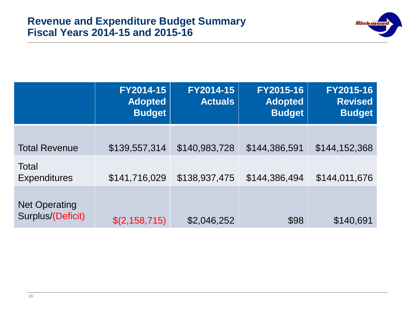

|                                           | FY2014-15<br><b>Adopted</b><br><b>Budget</b> | FY2014-15<br><b>Actuals</b> | FY2015-16<br><b>Adopted</b><br><b>Budget</b> | FY2015-16<br><b>Revised</b><br><b>Budget</b> |
|-------------------------------------------|----------------------------------------------|-----------------------------|----------------------------------------------|----------------------------------------------|
| <b>Total Revenue</b>                      | \$139,557,314                                | \$140,983,728               | \$144,386,591                                | \$144,152,368                                |
| Total<br><b>Expenditures</b>              | \$141,716,029                                | \$138,937,475               | \$144,386,494                                | \$144,011,676                                |
| <b>Net Operating</b><br>Surplus/(Deficit) | \$(2,158,715)                                | \$2,046,252                 | \$98                                         | \$140,691                                    |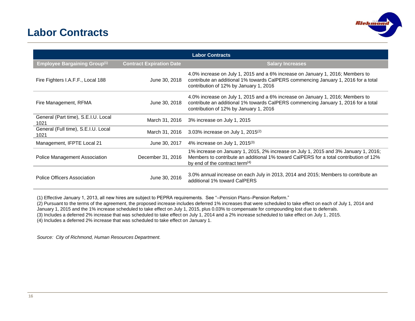#### **Labor Contracts**



| <b>Labor Contracts</b>                      |                                 |                                                                                                                                                                                                                   |  |  |  |  |  |
|---------------------------------------------|---------------------------------|-------------------------------------------------------------------------------------------------------------------------------------------------------------------------------------------------------------------|--|--|--|--|--|
| <b>Employee Bargaining Group(1)</b>         | <b>Contract Expiration Date</b> | <b>Salary Increases</b>                                                                                                                                                                                           |  |  |  |  |  |
| Fire Fighters I.A.F.F., Local 188           | June 30, 2018                   | 4.0% increase on July 1, 2015 and a 6% increase on January 1, 2016; Members to<br>contribute an additional 1% towards CalPERS commencing January 1, 2016 for a total<br>contribution of 12% by January 1, 2016    |  |  |  |  |  |
| Fire Management, RFMA                       | June 30, 2018                   | 4.0% increase on July 1, 2015 and a 6% increase on January 1, 2016; Members to<br>contribute an additional 1% towards CalPERS commencing January 1, 2016 for a total<br>contribution of 12% by January 1, 2016    |  |  |  |  |  |
| General (Part time), S.E.I.U. Local<br>1021 | March 31, 2016                  | 3% increase on July 1, 2015                                                                                                                                                                                       |  |  |  |  |  |
| General (Full time), S.E.I.U. Local<br>1021 | March 31, 2016                  | 3.03% increase on July 1, 2015 <sup>(2)</sup>                                                                                                                                                                     |  |  |  |  |  |
| Management, IFPTE Local 21                  | June 30, 2017                   | 4% increase on July 1, 2015 <sup>(3)</sup>                                                                                                                                                                        |  |  |  |  |  |
| Police Management Association               | December 31, 2016               | 1% increase on January 1, 2015, 2% increase on July 1, 2015 and 3% January 1, 2016;<br>Members to contribute an additional 1% toward CalPERS for a total contribution of 12%<br>by end of the contract term $(4)$ |  |  |  |  |  |
| Police Officers Association                 | June 30, 2016                   | 3.0% annual increase on each July in 2013, 2014 and 2015; Members to contribute an<br>additional 1% toward CalPERS                                                                                                |  |  |  |  |  |

(1) Effective January 1, 2013, all new hires are subject to PEPRA requirements. See "–Pension Plans–Pension Reform."

(2) Pursuant to the terms of the agreement, the proposed increase includes deferred 1% increases that were scheduled to take effect on each of July 1, 2014 and

January 1, 2015 and the 1% increase scheduled to take effect on July 1, 2015, plus 0.03% to compensate for compounding lost due to deferrals.

(3) Includes a deferred 2% increase that was scheduled to take effect on July 1, 2014 and a 2% increase scheduled to take effect on July 1, 2015.

(4) Includes a deferred 2% increase that was scheduled to take effect on January 1.

*Source: City of Richmond, Human Resources Department.*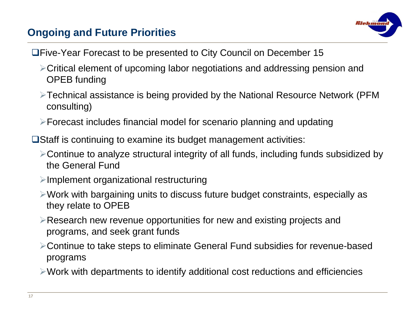#### **Ongoing and Future Priorities**



- Five-Year Forecast to be presented to City Council on December 15
	- Critical element of upcoming labor negotiations and addressing pension and OPEB funding
	- Technical assistance is being provided by the National Resource Network (PFM consulting)
	- Forecast includes financial model for scenario planning and updating
- **□Staff is continuing to examine its budget management activities:** 
	- Continue to analyze structural integrity of all funds, including funds subsidized by the General Fund
	- $\triangleright$ Implement organizational restructuring
	- Work with bargaining units to discuss future budget constraints, especially as they relate to OPEB
	- Research new revenue opportunities for new and existing projects and programs, and seek grant funds
	- Continue to take steps to eliminate General Fund subsidies for revenue-based programs
	- Work with departments to identify additional cost reductions and efficiencies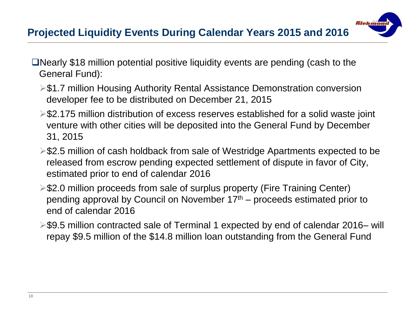## **Projected Liquidity Events During Calendar Years 2015 and 2016**

- ■Nearly \$18 million potential positive liquidity events are pending (cash to the General Fund):
	- **► \$1.7 million Housing Authority Rental Assistance Demonstration conversion** developer fee to be distributed on December 21, 2015
	- \$2.175 million distribution of excess reserves established for a solid waste joint venture with other cities will be deposited into the General Fund by December 31, 2015

*Richmo* 

- **►\$2.5 million of cash holdback from sale of Westridge Apartments expected to be** released from escrow pending expected settlement of dispute in favor of City, estimated prior to end of calendar 2016
- **≻\$2.0 million proceeds from sale of surplus property (Fire Training Center)** pending approval by Council on November 17th – proceeds estimated prior to end of calendar 2016
- \$9.5 million contracted sale of Terminal 1 expected by end of calendar 2016– will repay \$9.5 million of the \$14.8 million loan outstanding from the General Fund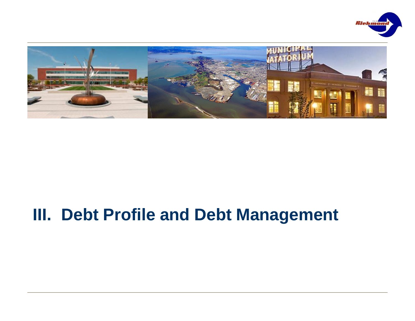



## **III. Debt Profile and Debt Management**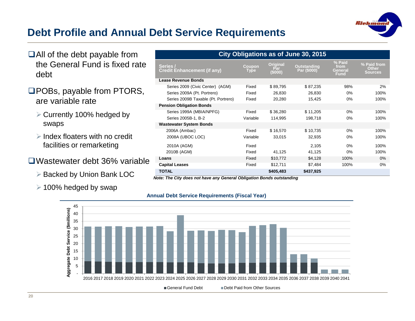

#### **Debt Profile and Annual Debt Service Requirements**

- ■All of the debt payable from the General Fund is fixed rate debt
- □POBs, payable from PTORS, are variable rate
	- **▶ Currently 100% hedged by** swaps
	- $\triangleright$  Index floaters with no credit facilities or remarketing
- Wastewater debt 36% variable
	- ▶ Backed by Union Bank LOC
	- $\geq$  100% hedged by swap

| City Obligations as of June 30, 2015           |                |                                   |                                   |                                   |                                        |  |  |  |  |
|------------------------------------------------|----------------|-----------------------------------|-----------------------------------|-----------------------------------|----------------------------------------|--|--|--|--|
| Series /<br><b>Credit Enhancement (if any)</b> | Coupon<br>Type | <b>Original</b><br>Par<br>(\$000) | <b>Outstanding</b><br>Par (\$000) | % Paid<br>from<br>General<br>Fund | % Paid from<br>Other<br><b>Sources</b> |  |  |  |  |
| Lease Revenue Bonds                            |                |                                   |                                   |                                   |                                        |  |  |  |  |
| Series 2009 (Civic Center) (AGM)               | Fixed          | \$89,795                          | \$87,235                          | 98%                               | 2%                                     |  |  |  |  |
| Series 2009A (Pt. Portrero)                    | Fixed          | 26,830                            | 26,830                            | 0%                                | 100%                                   |  |  |  |  |
| Series 2009B Taxable (Pt. Portrero)            | Fixed          | 20,280                            | 15,425                            | 0%                                | 100%                                   |  |  |  |  |
| <b>Pension Obligation Bonds</b>                |                |                                   |                                   |                                   |                                        |  |  |  |  |
| Series 1999A (MBIA/NPFG)                       | Fixed          | \$36,280                          | \$11,205                          | 0%                                | 100%                                   |  |  |  |  |
| Series 2005B-1, B-2                            | Variable       | 114,995                           | 198,718                           | $0\%$                             | 100%                                   |  |  |  |  |
| <b>Wastewater System Bonds</b>                 |                |                                   |                                   |                                   |                                        |  |  |  |  |
| 2006A (Ambac)                                  | Fixed          | \$16,570                          | \$10,735                          | $0\%$                             | 100%                                   |  |  |  |  |
| 2008A (UBOC LOC)                               | Variable       | 33,015                            | 32,935                            | 0%                                | 100%                                   |  |  |  |  |
| 2010A (AGM)                                    | Fixed          |                                   | 2,105                             | 0%                                | 100%                                   |  |  |  |  |
| 2010B (AGM)                                    | Fixed          | 41,125                            | 41,125                            | 0%                                | 100%                                   |  |  |  |  |
| Loans                                          | Fixed          | \$10,772                          | \$4,128                           | 100%                              | 0%                                     |  |  |  |  |
| <b>Capital Leases</b>                          | Fixed          | \$12,711                          | \$7,484                           | 100%                              | 0%                                     |  |  |  |  |
| <b>TOTAL</b>                                   |                | \$405,483                         | \$437,925                         |                                   |                                        |  |  |  |  |

*Note: The City does not have any General Obligation Bonds outstanding*

#### **Annual Debt Service Requirements (Fiscal Year)**

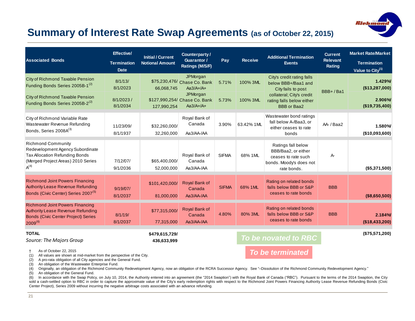# *Ilichum*

#### **Summary of Interest Rate Swap Agreements (as of October 22, 2015)**

| <b>Associated Bonds</b>                                                                                                                                          | <b>Effective/</b><br><b>Termination</b><br><b>Date</b> | <b>Initial / Current</b><br><b>Notional Amount</b> | Counterparty/<br><b>Guarantor /</b><br>Ratings (M/S/F)   | Pay          | <b>Additional Termination</b><br><b>Receive</b><br><b>Events</b> |                                                                                                            | <b>Current</b><br><b>Relevant</b><br>Rating | <b>Market Rate/Market</b><br><b>Termination</b><br>Value to City <sup>(1)</sup> |  |                          |
|------------------------------------------------------------------------------------------------------------------------------------------------------------------|--------------------------------------------------------|----------------------------------------------------|----------------------------------------------------------|--------------|------------------------------------------------------------------|------------------------------------------------------------------------------------------------------------|---------------------------------------------|---------------------------------------------------------------------------------|--|--------------------------|
| City of Richmond Taxable Pension<br>Funding Bonds Series 2005B-1 <sup>(2)</sup>                                                                                  | 8/1/13/<br>8/1/2023                                    | 66,068,745                                         | JPMorgan<br>\$75,230,476/ Chase Co. Bank<br>$Aa3/A+/A+$  | 5.71%        | 100% 3ML                                                         | City's credit rating falls<br>below BBB+/Baa1 and<br>City fails to post                                    | BBB+/Ba1                                    | 1.429%<br>(\$13,287,000)                                                        |  |                          |
| City of Richmond Taxable Pension<br>Funding Bonds Series 2005B-2 <sup>(2)</sup>                                                                                  | 8/1/2023/<br>8/1/2034                                  | 127,990,254                                        | JPMorgan<br>\$127,990,254/ Chase Co. Bank<br>$Aa3/A+/A+$ | 5.73%        | 100% 3ML                                                         | collateral; City's credit<br>rating falls below either<br><b>BBB</b> or Baa2                               |                                             |                                                                                 |  | 2.906%<br>(\$19,735,400) |
| City of Richmond Variable Rate<br>Wastewater Revenue Refunding<br>Bonds, Series 2008A(3)                                                                         | 11/23/09/<br>8/1/1937                                  | \$32,260,000/<br>32,260,000                        | Royal Bank of<br>Canada<br>Aa3/AA-/AA                    | 3.90%        | 63.42% 1ML                                                       | Wastewater bond ratings<br>fall below A-/Baa3, or<br>either ceases to rate<br>bonds                        | AA-/Baa2                                    | 1.580%<br>(\$10,093,600)                                                        |  |                          |
| <b>Richmond Community</b><br>Redevelopment Agency Subordinate<br><b>Tax Allocation Refunding Bonds</b><br>(Merged Project Areas) 2010 Series<br>A <sup>(4)</sup> | 7/12/07/<br>9/1/2036                                   | \$65,400,000/<br>52,000,000                        | Royal Bank of<br>Canada<br>Aa3/AA-/AA                    | <b>SIFMA</b> | 68% 1ML                                                          | Ratings fall below<br>BBB/Baa2, or either<br>ceases to rate such<br>bonds. Moody's does not<br>rate bonds. | А-                                          | (\$5,371,500)                                                                   |  |                          |
| <b>Richmond Joint Powers Financing</b><br>Authority Lease Revenue Refunding<br>Bonds (Civic Center) Series 2007 <sup>(5)</sup>                                   | 9/19/07/<br>8/1/2037                                   | \$101,420,000/<br>81,000,000                       | Royal Bank of<br>Canada<br>Aa3/AA-/AA                    | <b>SIFMA</b> | 68% 1ML                                                          | Rating on related bonds<br>falls below BBB or S&P<br>ceases to rate bonds                                  | <b>BBB</b>                                  | (\$8,650,500)                                                                   |  |                          |
| <b>Richmond Joint Powers Financing</b><br><b>Authority Lease Revenue Refunding</b><br><b>Bonds (Civic Center Project) Series</b><br>$2009^{(6)}$                 | 8/1/19/<br>8/1/2037                                    | \$77,315,000/<br>77,315,000                        | Royal Bank of<br>Canada<br>Aa3/AA-/AA                    | 4.80%        | 80% 3ML                                                          | Rating on related bonds<br>falls below BBB or S&P<br>ceases to rate bonds                                  | <b>BBB</b>                                  | 2.184%<br>( \$18,433,200)                                                       |  |                          |
| <b>TOTAL</b><br>Source: The Majors Group                                                                                                                         |                                                        | \$479,615,729/<br>436,633,999                      |                                                          |              |                                                                  | To be novated to RBC                                                                                       |                                             | (\$75,571,200)                                                                  |  |                          |
| As of October 22, 2015<br>All values are shown at mid-market from the perspective of the City.<br>(1)                                                            |                                                        |                                                    |                                                          |              |                                                                  | <b>To be terminated</b>                                                                                    |                                             |                                                                                 |  |                          |

(2) A pro-rata obligation of all City agencies and the General Fund.

(3) An obligation of the Wastewater Enterprise Fund.

(4) Originally, an obligation of the Richmond Community Redevelopment Agency, now an obligation of the RCRA Successor Agency. See "–Dissolution of the Richmond Community Redevelopment Agency."

(5) An obligation of the General Fund.

(6) In accordance with the Swap Policy, on July 10, 2014, the Authority entered into an agreement (the "2014 Swaption") with the Royal Bank of Canada ("RBC"). Pursuant to the terms of the 2014 Swaption, the City sold a cash-settled option to RBC in order to capture the approximate value of the City's early redemption rights with respect to the Richmond Joint Powers Financing Authority Lease Revenue Refunding Bonds (Civic Center Project), Series 2009 without incurring the negative arbitrage costs associated with an advance refunding.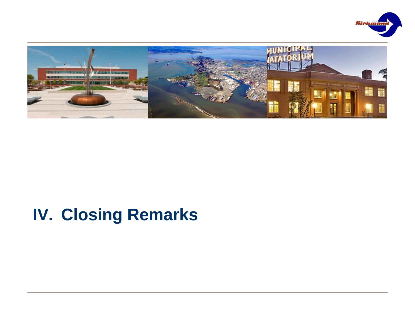



## **IV. Closing Remarks**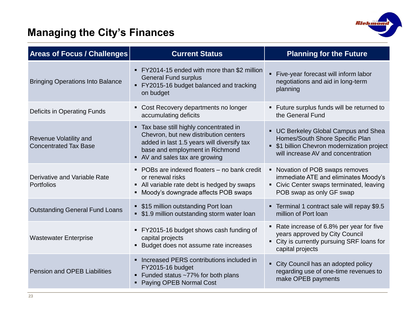

### **Managing the City's Finances**

| <b>Areas of Focus / Challenges</b>                            | <b>Current Status</b>                                                                                                                                                                               | <b>Planning for the Future</b>                                                                                                                               |
|---------------------------------------------------------------|-----------------------------------------------------------------------------------------------------------------------------------------------------------------------------------------------------|--------------------------------------------------------------------------------------------------------------------------------------------------------------|
| <b>Bringing Operations Into Balance</b>                       | • FY2014-15 ended with more than \$2 million<br><b>General Fund surplus</b><br>• FY2015-16 budget balanced and tracking<br>on budget                                                                | Five-year forecast will inform labor<br>negotiations and aid in long-term<br>planning                                                                        |
| Deficits in Operating Funds                                   | • Cost Recovery departments no longer<br>accumulating deficits                                                                                                                                      | • Future surplus funds will be returned to<br>the General Fund                                                                                               |
| <b>Revenue Volatility and</b><br><b>Concentrated Tax Base</b> | • Tax base still highly concentrated in<br>Chevron, but new distribution centers<br>added in last 1.5 years will diversify tax<br>base and employment in Richmond<br>• AV and sales tax are growing | • UC Berkeley Global Campus and Shea<br>Homes/South Shore Specific Plan<br>• \$1 billion Chevron modernization project<br>will increase AV and concentration |
| Derivative and Variable Rate<br>Portfolios                    | • POBs are indexed floaters - no bank credit<br>or renewal risks<br>• All variable rate debt is hedged by swaps<br>• Moody's downgrade affects POB swaps                                            | • Novation of POB swaps removes<br>immediate ATE and eliminates Moody's<br>• Civic Center swaps terminated, leaving<br>POB swap as only GF swap              |
| <b>Outstanding General Fund Loans</b>                         | • \$15 million outstanding Port loan<br>• \$1.9 million outstanding storm water loan                                                                                                                | • Terminal 1 contract sale will repay \$9.5<br>million of Port Ioan                                                                                          |
| <b>Wastewater Enterprise</b>                                  | FY2015-16 budget shows cash funding of<br>capital projects<br>• Budget does not assume rate increases                                                                                               | • Rate increase of 6.8% per year for five<br>years approved by City Council<br>• City is currently pursuing SRF loans for<br>capital projects                |
| <b>Pension and OPEB Liabilities</b>                           | • Increased PERS contributions included in<br>FY2015-16 budget<br>• Funded status ~77% for both plans<br>• Paying OPEB Normal Cost                                                                  | • City Council has an adopted policy<br>regarding use of one-time revenues to<br>make OPEB payments                                                          |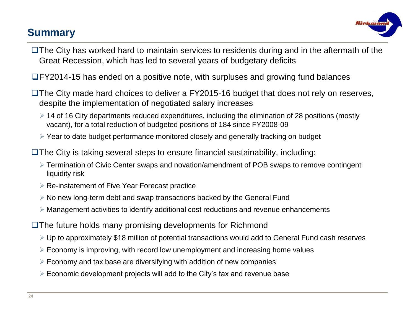#### **Summary**



- $\Box$  The City has worked hard to maintain services to residents during and in the aftermath of the Great Recession, which has led to several years of budgetary deficits
- FY2014-15 has ended on a positive note, with surpluses and growing fund balances
- $\Box$  The City made hard choices to deliver a FY2015-16 budget that does not rely on reserves, despite the implementation of negotiated salary increases
	- $\geq$  14 of 16 City departments reduced expenditures, including the elimination of 28 positions (mostly vacant), for a total reduction of budgeted positions of 184 since FY2008-09
	- Year to date budget performance monitored closely and generally tracking on budget

 $\Box$  The City is taking several steps to ensure financial sustainability, including:

- Termination of Civic Center swaps and novation/amendment of POB swaps to remove contingent liquidity risk
- **EXE-Instatement of Five Year Forecast practice**
- $\triangleright$  No new long-term debt and swap transactions backed by the General Fund
- $\triangleright$  Management activities to identify additional cost reductions and revenue enhancements
- The future holds many promising developments for Richmond
	- Up to approximately \$18 million of potential transactions would add to General Fund cash reserves
	- $\triangleright$  Economy is improving, with record low unemployment and increasing home values
	- $\triangleright$  Economy and tax base are diversifying with addition of new companies
	- $\triangleright$  Economic development projects will add to the City's tax and revenue base